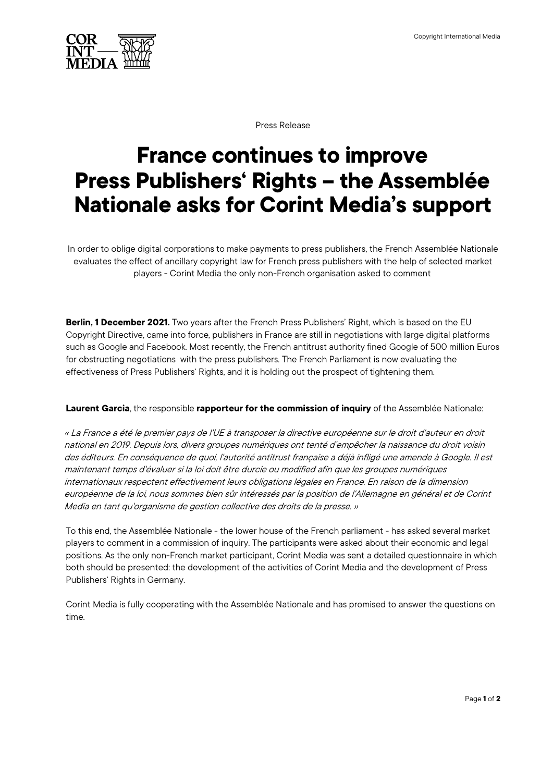

Press Release

## **France continues to improve Press Publishers' Rights – the Assemblée Nationale asks for Corint Media's support**

In order to oblige digital corporations to make payments to press publishers, the French Assemblée Nationale evaluates the effect of ancillary copyright law for French press publishers with the help of selected market players - Corint Media the only non-French organisation asked to comment

**Berlin, 1 December 2021.** Two years after the French Press Publishers' Right, which is based on the EU Copyright Directive, came into force, publishers in France are still in negotiations with large digital platforms such as Google and Facebook. Most recently, the French antitrust authority fined Google of 500 million Euros for obstructing negotiations with the press publishers. The French Parliament is now evaluating the effectiveness of Press Publishers' Rights, and it is holding out the prospect of tightening them.

## **Laurent Garcia**, the responsible **rapporteur for the commission of inquiry** of the Assemblée Nationale:

« La France a été le premier pays de l'UE à transposer la directive européenne sur le droit d'auteur en droit national en 2019. Depuis lors, divers groupes numériques ont tenté d'empêcher la naissance du droit voisin des éditeurs. En conséquence de quoi, l'autorité antitrust française a déjà infligé une amende à Google. Il est maintenant temps d'évaluer si la loi doit être durcie ou modified afin que les groupes numériques internationaux respectent effectivement leurs obligations légales en France. En raison de la dimension européenne de la loi, nous sommes bien sûr intéressés par la position de l'Allemagne en général et de Corint Media en tant qu'organisme de gestion collective des droits de la presse. »

To this end, the Assemblée Nationale - the lower house of the French parliament - has asked several market players to comment in a commission of inquiry. The participants were asked about their economic and legal positions. As the only non-French market participant, Corint Media was sent a detailed questionnaire in which both should be presented: the development of the activities of Corint Media and the development of Press Publishers' Rights in Germany.

Corint Media is fully cooperating with the Assemblée Nationale and has promised to answer the questions on time.